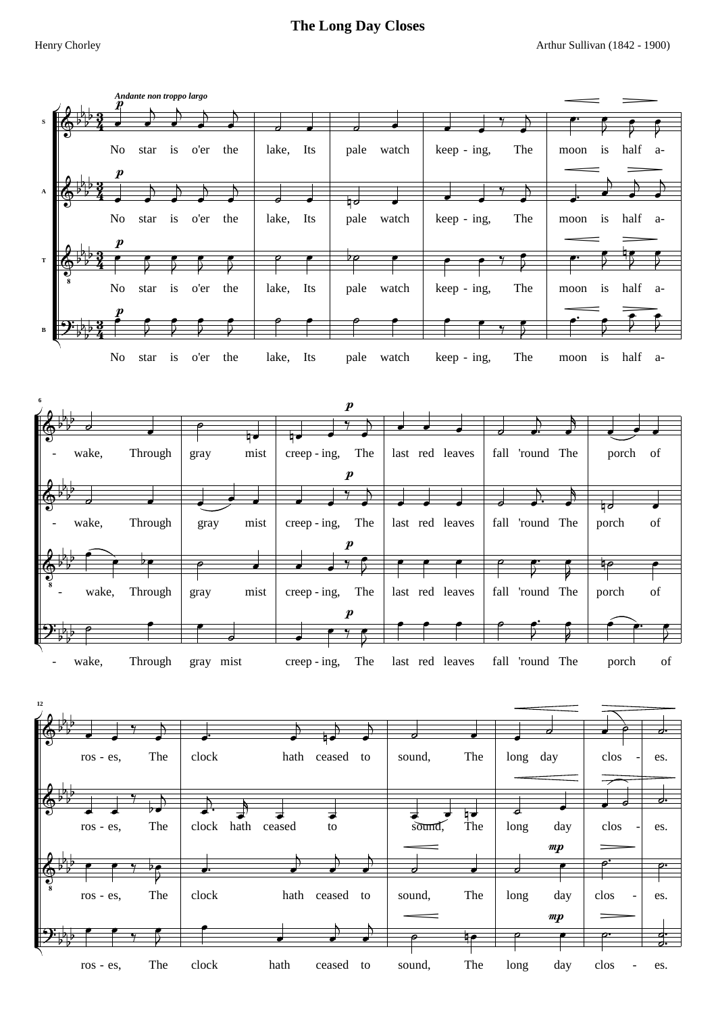## **The Long Day Closes**

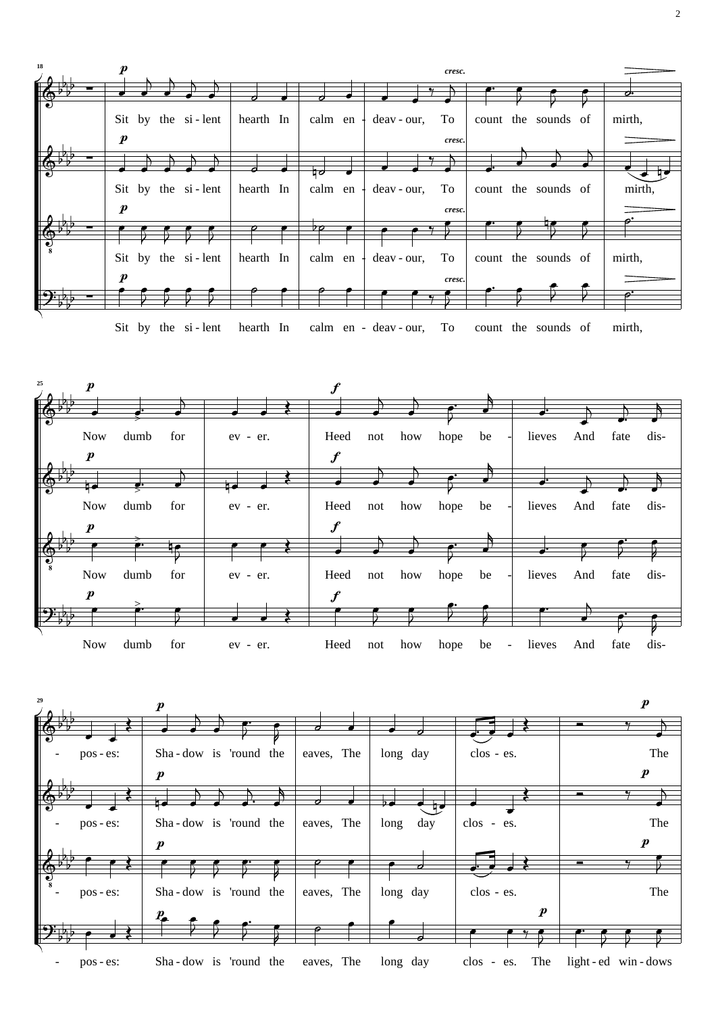



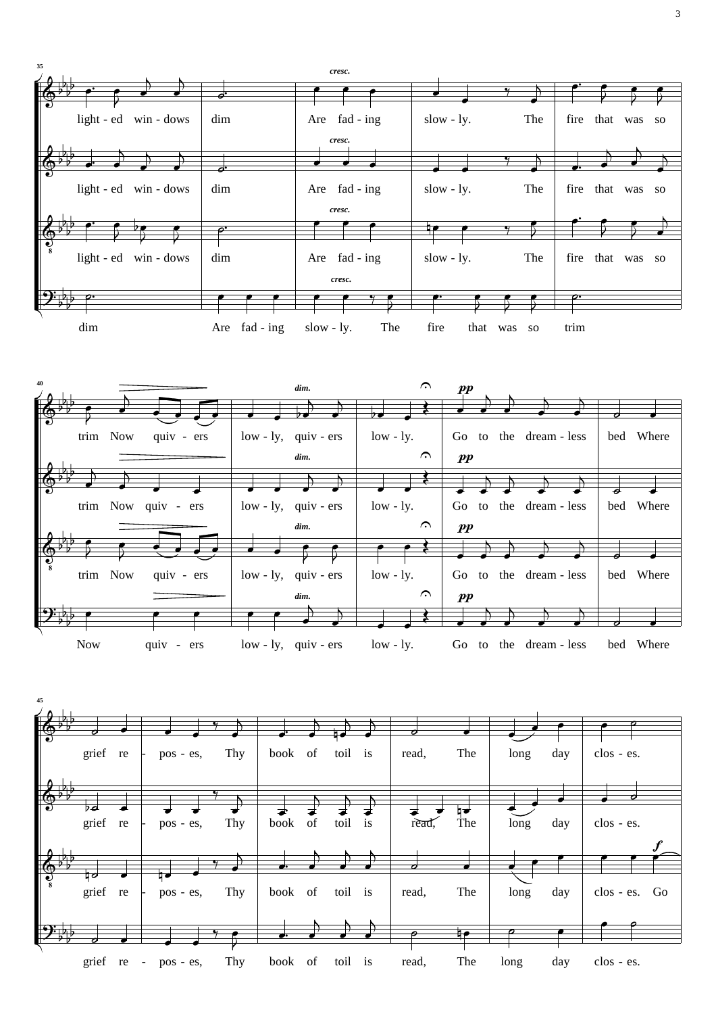